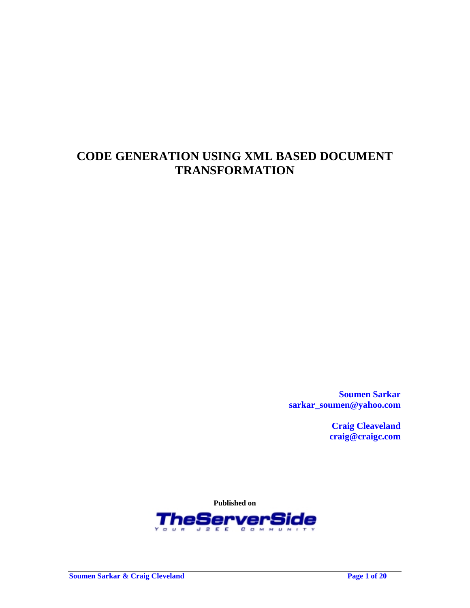# **CODE GENERATION USING XML BASED DOCUMENT TRANSFORMATION**

**Soumen Sarkar sarkar\_soumen@yahoo.com** 

> **Craig Cleaveland craig@craigc.com**

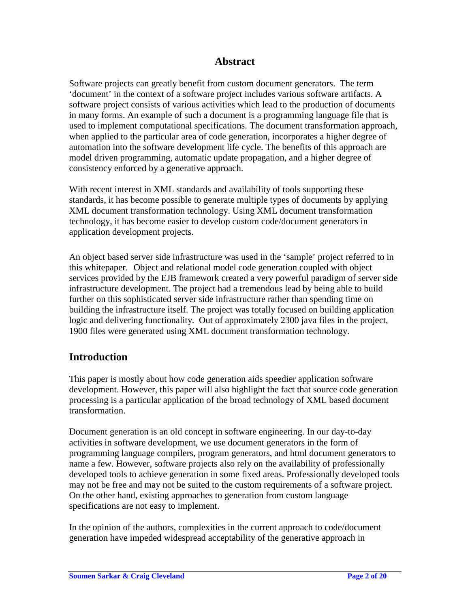### **Abstract**

Software projects can greatly benefit from custom document generators. The term 'document' in the context of a software project includes various software artifacts. A software project consists of various activities which lead to the production of documents in many forms. An example of such a document is a programming language file that is used to implement computational specifications. The document transformation approach, when applied to the particular area of code generation, incorporates a higher degree of automation into the software development life cycle. The benefits of this approach are model driven programming, automatic update propagation, and a higher degree of consistency enforced by a generative approach.

With recent interest in XML standards and availability of tools supporting these standards, it has become possible to generate multiple types of documents by applying XML document transformation technology. Using XML document transformation technology, it has become easier to develop custom code/document generators in application development projects.

An object based server side infrastructure was used in the 'sample' project referred to in this whitepaper. Object and relational model code generation coupled with object services provided by the EJB framework created a very powerful paradigm of server side infrastructure development. The project had a tremendous lead by being able to build further on this sophisticated server side infrastructure rather than spending time on building the infrastructure itself. The project was totally focused on building application logic and delivering functionality. Out of approximately 2300 java files in the project, 1900 files were generated using XML document transformation technology.

### **Introduction**

This paper is mostly about how code generation aids speedier application software development. However, this paper will also highlight the fact that source code generation processing is a particular application of the broad technology of XML based document transformation.

Document generation is an old concept in software engineering. In our day-to-day activities in software development, we use document generators in the form of programming language compilers, program generators, and html document generators to name a few. However, software projects also rely on the availability of professionally developed tools to achieve generation in some fixed areas. Professionally developed tools may not be free and may not be suited to the custom requirements of a software project. On the other hand, existing approaches to generation from custom language specifications are not easy to implement.

In the opinion of the authors, complexities in the current approach to code/document generation have impeded widespread acceptability of the generative approach in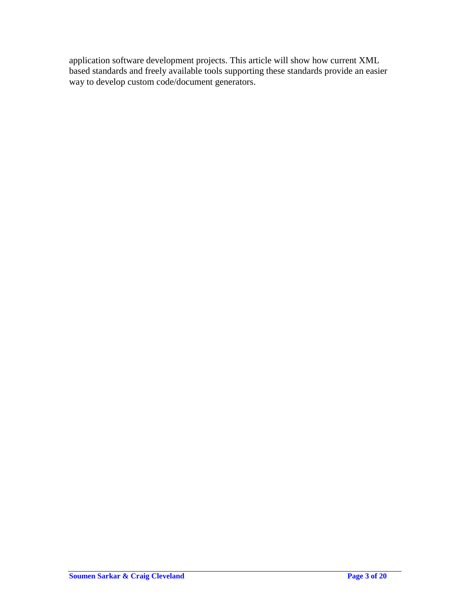application software development projects. This article will show how current XML based standards and freely available tools supporting these standards provide an easier way to develop custom code/document generators.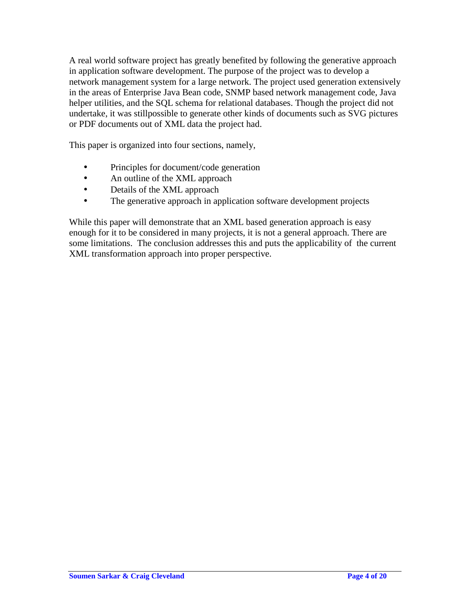A real world software project has greatly benefited by following the generative approach in application software development. The purpose of the project was to develop a network management system for a large network. The project used generation extensively in the areas of Enterprise Java Bean code, SNMP based network management code, Java helper utilities, and the SQL schema for relational databases. Though the project did not undertake, it was stillpossible to generate other kinds of documents such as SVG pictures or PDF documents out of XML data the project had.

This paper is organized into four sections, namely,

- Principles for document/code generation
- An outline of the XML approach
- Details of the XML approach
- The generative approach in application software development projects

While this paper will demonstrate that an XML based generation approach is easy enough for it to be considered in many projects, it is not a general approach. There are some limitations. The conclusion addresses this and puts the applicability of the current XML transformation approach into proper perspective.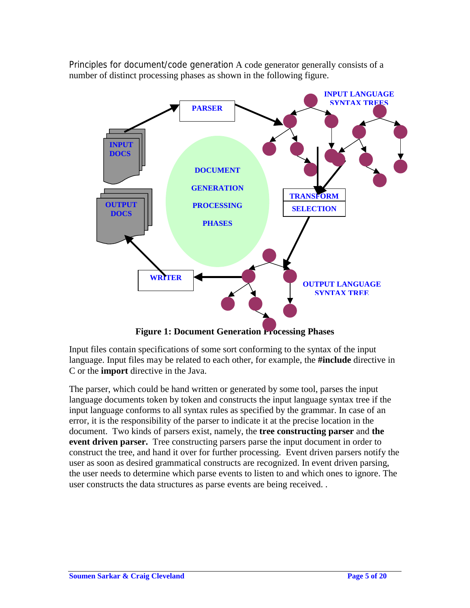Principles for document/code generation A code generator generally consists of a number of distinct processing phases as shown in the following figure.



**Figure 1: Document Generation Processing Phases** 

Input files contain specifications of some sort conforming to the syntax of the input language. Input files may be related to each other, for example, the **#include** directive in C or the **import** directive in the Java.

The parser, which could be hand written or generated by some tool, parses the input language documents token by token and constructs the input language syntax tree if the input language conforms to all syntax rules as specified by the grammar. In case of an error, it is the responsibility of the parser to indicate it at the precise location in the document. Two kinds of parsers exist, namely, the **tree constructing parser** and **the event driven parser.** Tree constructing parsers parse the input document in order to construct the tree, and hand it over for further processing. Event driven parsers notify the user as soon as desired grammatical constructs are recognized. In event driven parsing, the user needs to determine which parse events to listen to and which ones to ignore. The user constructs the data structures as parse events are being received. .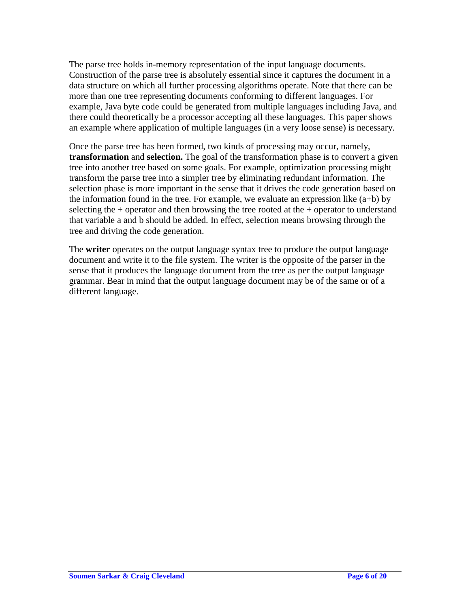The parse tree holds in-memory representation of the input language documents. Construction of the parse tree is absolutely essential since it captures the document in a data structure on which all further processing algorithms operate. Note that there can be more than one tree representing documents conforming to different languages. For example, Java byte code could be generated from multiple languages including Java, and there could theoretically be a processor accepting all these languages. This paper shows an example where application of multiple languages (in a very loose sense) is necessary.

Once the parse tree has been formed, two kinds of processing may occur, namely, **transformation** and **selection.** The goal of the transformation phase is to convert a given tree into another tree based on some goals. For example, optimization processing might transform the parse tree into a simpler tree by eliminating redundant information. The selection phase is more important in the sense that it drives the code generation based on the information found in the tree. For example, we evaluate an expression like  $(a+b)$  by selecting the  $+$  operator and then browsing the tree rooted at the  $+$  operator to understand that variable a and b should be added. In effect, selection means browsing through the tree and driving the code generation.

The **writer** operates on the output language syntax tree to produce the output language document and write it to the file system. The writer is the opposite of the parser in the sense that it produces the language document from the tree as per the output language grammar. Bear in mind that the output language document may be of the same or of a different language.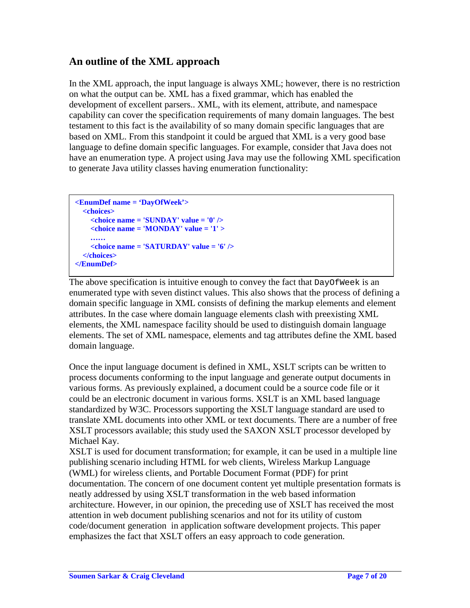## **An outline of the XML approach**

In the XML approach, the input language is always XML; however, there is no restriction on what the output can be. XML has a fixed grammar, which has enabled the development of excellent parsers.. XML, with its element, attribute, and namespace capability can cover the specification requirements of many domain languages. The best testament to this fact is the availability of so many domain specific languages that are based on XML. From this standpoint it could be argued that XML is a very good base language to define domain specific languages. For example, consider that Java does not have an enumeration type. A project using Java may use the following XML specification to generate Java utility classes having enumeration functionality:

```
<EnumDef name = 'DayOfWeek'> 
   <choices> 
     <choice name = 'SUNDAY' value = '0' /> 
     <choice name = 'MONDAY' value = '1' > 
     …… 
     <choice name = 'SATURDAY' value = '6' /> 
   </choices> 
</EnumDef>
```
The above specification is intuitive enough to convey the fact that DayOfWeek is an enumerated type with seven distinct values. This also shows that the process of defining a domain specific language in XML consists of defining the markup elements and element attributes. In the case where domain language elements clash with preexisting XML elements, the XML namespace facility should be used to distinguish domain language elements. The set of XML namespace, elements and tag attributes define the XML based domain language.

Once the input language document is defined in XML, XSLT scripts can be written to process documents conforming to the input language and generate output documents in various forms. As previously explained, a document could be a source code file or it could be an electronic document in various forms. XSLT is an XML based language standardized by W3C. Processors supporting the XSLT language standard are used to translate XML documents into other XML or text documents. There are a number of free XSLT processors available; this study used the SAXON XSLT processor developed by Michael Kay.

XSLT is used for document transformation; for example, it can be used in a multiple line publishing scenario including HTML for web clients, Wireless Markup Language (WML) for wireless clients, and Portable Document Format (PDF) for print documentation. The concern of one document content yet multiple presentation formats is neatly addressed by using XSLT transformation in the web based information architecture. However, in our opinion, the preceding use of XSLT has received the most attention in web document publishing scenarios and not for its utility of custom code/document generation in application software development projects. This paper emphasizes the fact that XSLT offers an easy approach to code generation.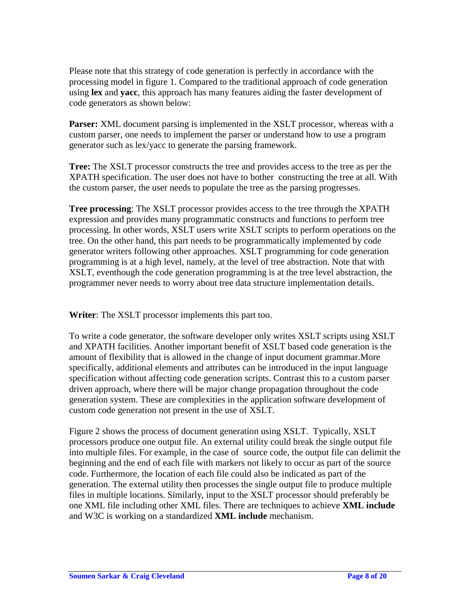Please note that this strategy of code generation is perfectly in accordance with the processing model in figure 1. Compared to the traditional approach of code generation using **lex** and **yacc**, this approach has many features aiding the faster development of code generators as shown below:

**Parser:** XML document parsing is implemented in the XSLT processor, whereas with a custom parser, one needs to implement the parser or understand how to use a program generator such as lex/yacc to generate the parsing framework.

**Tree:** The XSLT processor constructs the tree and provides access to the tree as per the XPATH specification. The user does not have to bother constructing the tree at all. With the custom parser, the user needs to populate the tree as the parsing progresses.

**Tree processing**: The XSLT processor provides access to the tree through the XPATH expression and provides many programmatic constructs and functions to perform tree processing. In other words, XSLT users write XSLT scripts to perform operations on the tree. On the other hand, this part needs to be programmatically implemented by code generator writers following other approaches. XSLT programming for code generation programming is at a high level, namely, at the level of tree abstraction. Note that with XSLT, eventhough the code generation programming is at the tree level abstraction, the programmer never needs to worry about tree data structure implementation details.

**Writer**: The XSLT processor implements this part too.

To write a code generator, the software developer only writes XSLT scripts using XSLT and XPATH facilities. Another important benefit of XSLT based code generation is the amount of flexibility that is allowed in the change of input document grammar.More specifically, additional elements and attributes can be introduced in the input language specification without affecting code generation scripts. Contrast this to a custom parser driven approach, where there will be major change propagation throughout the code generation system. These are complexities in the application software development of custom code generation not present in the use of XSLT.

Figure 2 shows the process of document generation using XSLT. Typically, XSLT processors produce one output file. An external utility could break the single output file into multiple files. For example, in the case of source code, the output file can delimit the beginning and the end of each file with markers not likely to occur as part of the source code. Furthermore, the location of each file could also be indicated as part of the generation. The external utility then processes the single output file to produce multiple files in multiple locations. Similarly, input to the XSLT processor should preferably be one XML file including other XML files. There are techniques to achieve **XML include** and W3C is working on a standardized **XML include** mechanism.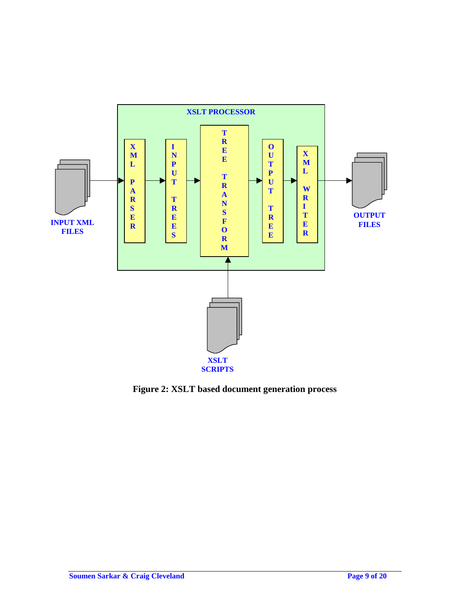

**Figure 2: XSLT based document generation process**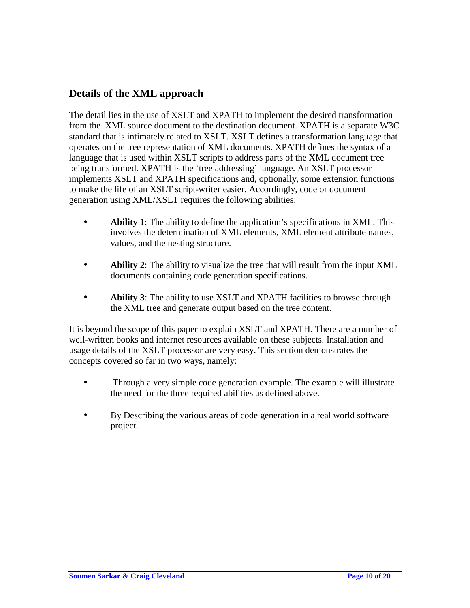## **Details of the XML approach**

The detail lies in the use of XSLT and XPATH to implement the desired transformation from the XML source document to the destination document. XPATH is a separate W3C standard that is intimately related to XSLT. XSLT defines a transformation language that operates on the tree representation of XML documents. XPATH defines the syntax of a language that is used within XSLT scripts to address parts of the XML document tree being transformed. XPATH is the 'tree addressing' language. An XSLT processor implements XSLT and XPATH specifications and, optionally, some extension functions to make the life of an XSLT script-writer easier. Accordingly, code or document generation using XML/XSLT requires the following abilities:

- **Ability 1**: The ability to define the application's specifications in XML. This involves the determination of XML elements, XML element attribute names, values, and the nesting structure.
- **Ability 2**: The ability to visualize the tree that will result from the input XML documents containing code generation specifications.
- **Ability 3**: The ability to use XSLT and XPATH facilities to browse through the XML tree and generate output based on the tree content.

It is beyond the scope of this paper to explain XSLT and XPATH. There are a number of well-written books and internet resources available on these subjects. Installation and usage details of the XSLT processor are very easy. This section demonstrates the concepts covered so far in two ways, namely:

- Through a very simple code generation example. The example will illustrate the need for the three required abilities as defined above.
- By Describing the various areas of code generation in a real world software project.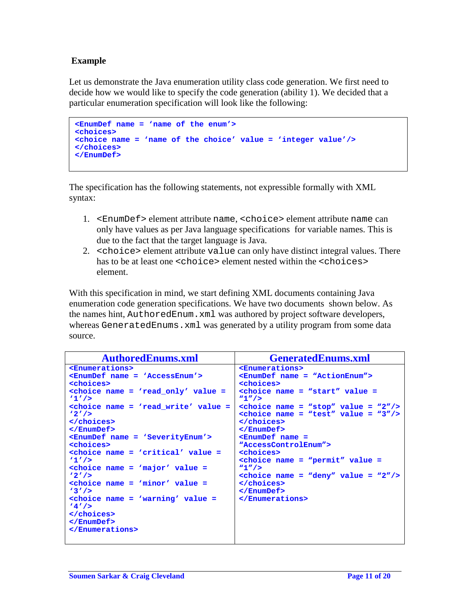#### **Example**

Let us demonstrate the Java enumeration utility class code generation. We first need to decide how we would like to specify the code generation (ability 1). We decided that a particular enumeration specification will look like the following:

```
<EnumDef name = 'name of the enum'>
<choices>
<choice name = 'name of the choice' value = 'integer value'/>
</choices>
</EnumDef>
```
The specification has the following statements, not expressible formally with XML syntax:

- 1. <EnumDef> element attribute name, <choice> element attribute name can only have values as per Java language specifications for variable names. This is due to the fact that the target language is Java.
- 2. <choice> element attribute value can only have distinct integral values. There has to be at least one <choice> element nested within the <choices> element.

With this specification in mind, we start defining XML documents containing Java enumeration code generation specifications. We have two documents shown below. As the names hint, AuthoredEnum.xml was authored by project software developers, whereas GeneratedEnums. xml was generated by a utility program from some data source.

```
AuthoredEnums.xml GeneratedEnums.xml 
<Enumerations>
<EnumDef name = 'AccessEnum'>
<choices>
<choice name = 'read_only' value =
'1'/>
<choice name = 'read_write' value =
'2'/>
</choices>
</EnumDef>
<EnumDef name = 'SeverityEnum'>
<choices>
<choice name = 'critical' value =
'1'/>
<choice name = 'major' value =
'2'/>
<choice name = 'minor' value =
'3'/>
<choice name = 'warning' value =
'4'/>
</choices>
</EnumDef>
</Enumerations>
                                     <Enumerations>
                                    <EnumDef name = "ActionEnum">
                                    <choices>
                                    <choice name = "start" value =
                                     "1"/>
                                    <choice name = "stop" value = "2"/>
                                    <choice name = "test" value = "3"/>
                                    </choices>
                                    </EnumDef>
                                    <EnumDef name =
                                     "AccessControlEnum">
                                    <choices>
                                    <choice name = "permit" value =
                                     "1"/>
                                    <choice name = "deny" value = "2"/>
                                    </choices>
                                    </EnumDef>
                                    </Enumerations>
```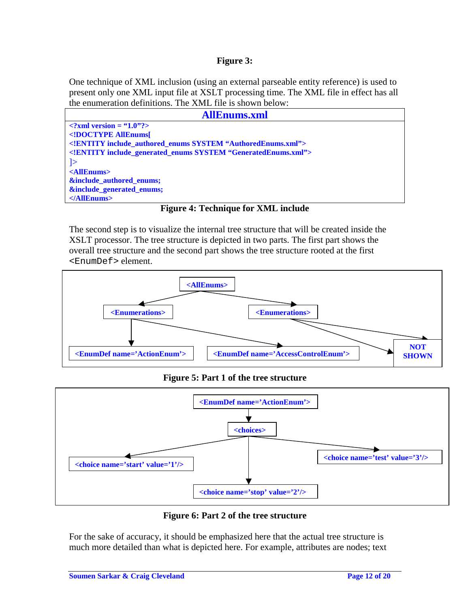#### **Figure 3:**

One technique of XML inclusion (using an external parseable entity reference) is used to present only one XML input file at XSLT processing time. The XML file in effect has all the enumeration definitions. The XML file is shown below:



**Figure 4: Technique for XML include** 

The second step is to visualize the internal tree structure that will be created inside the XSLT processor. The tree structure is depicted in two parts. The first part shows the overall tree structure and the second part shows the tree structure rooted at the first <EnumDef> element.



### **Figure 5: Part 1 of the tree structure**



### **Figure 6: Part 2 of the tree structure**

For the sake of accuracy, it should be emphasized here that the actual tree structure is much more detailed than what is depicted here. For example, attributes are nodes; text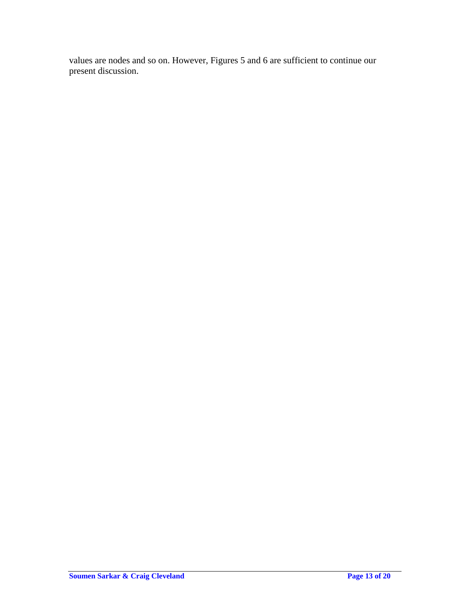values are nodes and so on. However, Figures 5 and 6 are sufficient to continue our present discussion.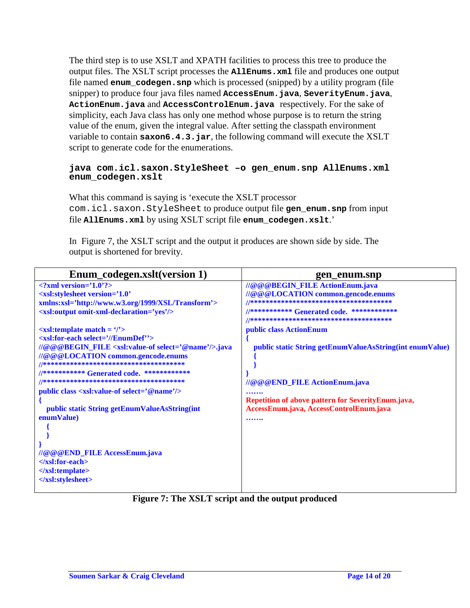The third step is to use XSLT and XPATH facilities to process this tree to produce the output files. The XSLT script processes the **AllEnums.xml** file and produces one output file named **enum\_codegen.snp** which is processed (snipped) by a utility program (file snipper) to produce four java files named **AccessEnum.java**, **SeverityEnum.java**, **ActionEnum.java** and **AccessControlEnum.java** respectively. For the sake of simplicity, each Java class has only one method whose purpose is to return the string value of the enum, given the integral value. After setting the classpath environment variable to contain **saxon6.4.3.jar**, the following command will execute the XSLT script to generate code for the enumerations.

#### **java com.icl.saxon.StyleSheet –o gen\_enum.snp AllEnums.xml enum\_codegen.xslt**

What this command is saying is 'execute the XSLT processor com.icl.saxon.StyleSheet to produce output file **gen\_enum.snp** from input file **AllEnums.xml** by using XSLT script file **enum\_codegen.xslt**.'

In Figure 7, the XSLT script and the output it produces are shown side by side. The output is shortened for brevity.

| Enum codegen.xslt(version 1)                                                                          | gen_enum.snp                                             |
|-------------------------------------------------------------------------------------------------------|----------------------------------------------------------|
| $\langle$ ?xml version='1.0'?>                                                                        | //@@@BEGIN_FILE ActionEnum.java                          |
| <xsl:stylesheet <="" td="" version="1.0"><td>//@@@LOCATION common.gencode.enums</td></xsl:stylesheet> | //@@@LOCATION common.gencode.enums                       |
| xmlns:xsl='http://www.w3.org/1999/XSL/Transform'>                                                     |                                                          |
| <xsl:output omit-xml-declaration="yes"></xsl:output>                                                  | //*********** Generated code. *************              |
| $\langle$ xsl:template match = $\langle$ '>                                                           | public class ActionEnum                                  |
| <xsl:for-each '="" select="//EnumDef"></xsl:for-each>                                                 |                                                          |
| //@@@BEGIN_FILE <xsl:value-of select="@name"></xsl:value-of> .java                                    | public static String getEnumValueAsString(int enumValue) |
| //@@@LOCATION common.gencode.enums                                                                    |                                                          |
|                                                                                                       |                                                          |
| //*********** Generated code. *************                                                           |                                                          |
|                                                                                                       | //@@@END_FILE ActionEnum.java                            |
| public class <xsl:value-of select="@name"></xsl:value-of>                                             |                                                          |
|                                                                                                       | Repetition of above pattern for SeverityEnum.java,       |
| public static String getEnumValueAsString(int                                                         | AccessEnum.java, AccessControlEnum.java                  |
| enumValue)                                                                                            |                                                          |
|                                                                                                       |                                                          |
|                                                                                                       |                                                          |
| //@@@END_FILE AccessEnum.java                                                                         |                                                          |
| $\langle x s :$ for-each $>$                                                                          |                                                          |
| $\langle$ xsl:template>                                                                               |                                                          |
|                                                                                                       |                                                          |
|                                                                                                       |                                                          |

**Figure 7: The XSLT script and the output produced**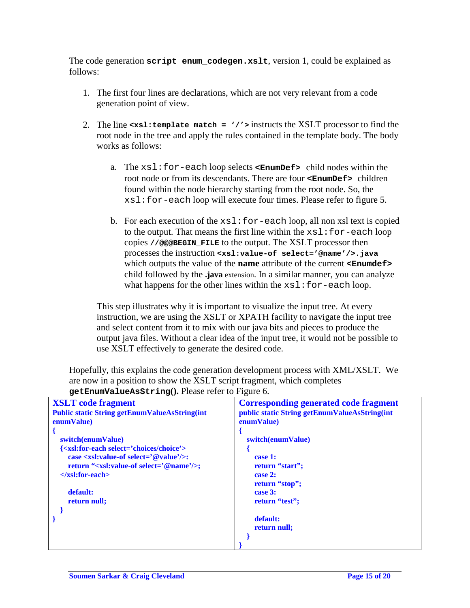The code generation **script enum\_codegen.xslt**, version 1, could be explained as follows:

- 1. The first four lines are declarations, which are not very relevant from a code generation point of view.
- 2. The line **<xsl:template match = '/'>** instructs the XSLT processor to find the root node in the tree and apply the rules contained in the template body. The body works as follows:
	- a. The xsl:for-each loop selects **<EnumDef>** child nodes within the root node or from its descendants. There are four **<EnumDef>** children found within the node hierarchy starting from the root node. So, the xsl:for-each loop will execute four times. Please refer to figure 5.
	- b. For each execution of the  $xsl:for-each loop$ , all non xsl text is copied to the output. That means the first line within the  $xsl:for-each loop$ copies **//@@@BEGIN\_FILE** to the output. The XSLT processor then processes the instruction **<xsl:value-of select='@name'/>.java** which outputs the value of the **name** attribute of the current **<Enumdef>** child followed by the **.java** extension. In a similar manner, you can analyze what happens for the other lines within the  $xsl:for-each loop$ .

This step illustrates why it is important to visualize the input tree. At every instruction, we are using the XSLT or XPATH facility to navigate the input tree and select content from it to mix with our java bits and pieces to produce the output java files. Without a clear idea of the input tree, it would not be possible to use XSLT effectively to generate the desired code.

Hopefully, this explains the code generation development process with XML/XSLT. We are now in a position to show the XSLT script fragment, which completes

| <b>XSLT</b> code fragment                                        | <b>Corresponding generated code fragment</b>  |
|------------------------------------------------------------------|-----------------------------------------------|
| <b>Public static String getEnumValueAsString(int</b>             | public static String getEnumValueAsString(int |
| enumValue)                                                       | enumValue)                                    |
|                                                                  |                                               |
| switch(enumValue)                                                | switch(enumValue)                             |
| { <xsl:for-each select="choices/choice"></xsl:for-each>          |                                               |
| case $\langle xsl:value\text{-}of select=$ '@value'/ $\rangle$ : | case 1:                                       |
| return " <xsl:value-of select="@name"></xsl:value-of> ;          | return "start";                               |
| $\langle x s :$ for-each $>$                                     | case $2:$                                     |
|                                                                  | return "stop";                                |
| default:                                                         | case 3:                                       |
| return null:                                                     | return "test";                                |
|                                                                  |                                               |
|                                                                  | default:                                      |
|                                                                  | return null;                                  |
|                                                                  |                                               |
|                                                                  |                                               |

**getEnumValueAsString().** Please refer to Figure 6.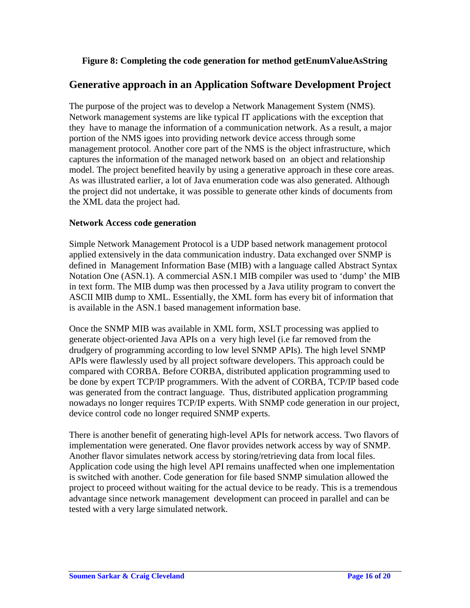### **Figure 8: Completing the code generation for method getEnumValueAsString**

### **Generative approach in an Application Software Development Project**

The purpose of the project was to develop a Network Management System (NMS). Network management systems are like typical IT applications with the exception that they have to manage the information of a communication network. As a result, a major portion of the NMS igoes into providing network device access through some management protocol. Another core part of the NMS is the object infrastructure, which captures the information of the managed network based on an object and relationship model. The project benefited heavily by using a generative approach in these core areas. As was illustrated earlier, a lot of Java enumeration code was also generated. Although the project did not undertake, it was possible to generate other kinds of documents from the XML data the project had.

#### **Network Access code generation**

Simple Network Management Protocol is a UDP based network management protocol applied extensively in the data communication industry. Data exchanged over SNMP is defined in Management Information Base (MIB) with a language called Abstract Syntax Notation One (ASN.1). A commercial ASN.1 MIB compiler was used to 'dump' the MIB in text form. The MIB dump was then processed by a Java utility program to convert the ASCII MIB dump to XML. Essentially, the XML form has every bit of information that is available in the ASN.1 based management information base.

Once the SNMP MIB was available in XML form, XSLT processing was applied to generate object-oriented Java APIs on a very high level (i.e far removed from the drudgery of programming according to low level SNMP APIs). The high level SNMP APIs were flawlessly used by all project software developers. This approach could be compared with CORBA. Before CORBA, distributed application programming used to be done by expert TCP/IP programmers. With the advent of CORBA, TCP/IP based code was generated from the contract language. Thus, distributed application programming nowadays no longer requires TCP/IP experts. With SNMP code generation in our project, device control code no longer required SNMP experts.

There is another benefit of generating high-level APIs for network access. Two flavors of implementation were generated. One flavor provides network access by way of SNMP. Another flavor simulates network access by storing/retrieving data from local files. Application code using the high level API remains unaffected when one implementation is switched with another. Code generation for file based SNMP simulation allowed the project to proceed without waiting for the actual device to be ready. This is a tremendous advantage since network management development can proceed in parallel and can be tested with a very large simulated network.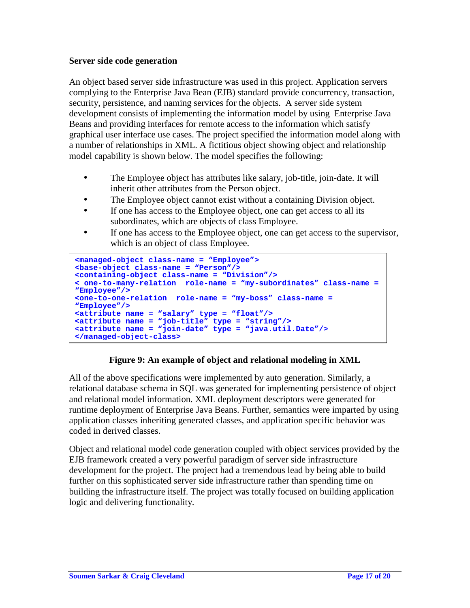### **Server side code generation**

 $\overline{\phantom{a}}$ 

An object based server side infrastructure was used in this project. Application servers complying to the Enterprise Java Bean (EJB) standard provide concurrency, transaction, security, persistence, and naming services for the objects. A server side system development consists of implementing the information model by using Enterprise Java Beans and providing interfaces for remote access to the information which satisfy graphical user interface use cases. The project specified the information model along with a number of relationships in XML. A fictitious object showing object and relationship model capability is shown below. The model specifies the following:

- The Employee object has attributes like salary, job-title, join-date. It will inherit other attributes from the Person object.
- The Employee object cannot exist without a containing Division object.
- If one has access to the Employee object, one can get access to all its subordinates, which are objects of class Employee.
- If one has access to the Employee object, one can get access to the supervisor, which is an object of class Employee.

```
<managed-object class-name = "Employee">
<base-object class-name = "Person"/>
<containing-object class-name = "Division"/>
< one-to-many-relation role-name = "my-subordinates" class-name =
"Employee"/>
<one-to-one-relation role-name = "my-boss" class-name =
"Employee"/>
<attribute name = "salary" type = "float"/>
<attribute name = "job-title" type = "string"/>
<attribute name = "join-date" type = "java.util.Date"/>
</managed-object-class>
```
### **Figure 9: An example of object and relational modeling in XML**

All of the above specifications were implemented by auto generation. Similarly, a relational database schema in SQL was generated for implementing persistence of object and relational model information. XML deployment descriptors were generated for runtime deployment of Enterprise Java Beans. Further, semantics were imparted by using application classes inheriting generated classes, and application specific behavior was coded in derived classes.

Object and relational model code generation coupled with object services provided by the EJB framework created a very powerful paradigm of server side infrastructure development for the project. The project had a tremendous lead by being able to build further on this sophisticated server side infrastructure rather than spending time on building the infrastructure itself. The project was totally focused on building application logic and delivering functionality.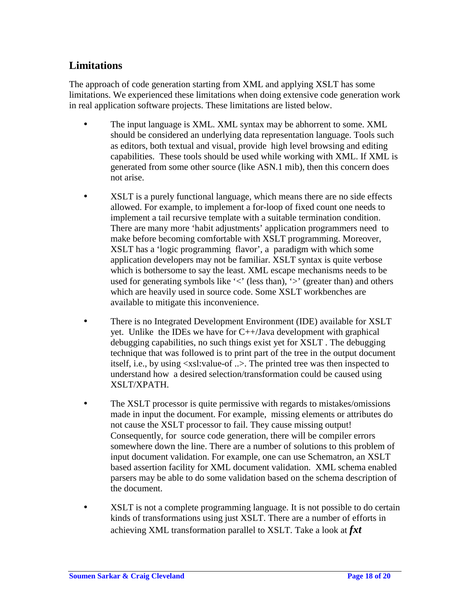# **Limitations**

The approach of code generation starting from XML and applying XSLT has some limitations. We experienced these limitations when doing extensive code generation work in real application software projects. These limitations are listed below.

- The input language is XML. XML syntax may be abhorrent to some. XML should be considered an underlying data representation language. Tools such as editors, both textual and visual, provide high level browsing and editing capabilities. These tools should be used while working with XML. If XML is generated from some other source (like ASN.1 mib), then this concern does not arise.
- XSLT is a purely functional language, which means there are no side effects allowed. For example, to implement a for-loop of fixed count one needs to implement a tail recursive template with a suitable termination condition. There are many more 'habit adjustments' application programmers need to make before becoming comfortable with XSLT programming. Moreover, XSLT has a 'logic programming flavor', a paradigm with which some application developers may not be familiar. XSLT syntax is quite verbose which is bothersome to say the least. XML escape mechanisms needs to be used for generating symbols like  $\leq$  (less than),  $\geq$  (greater than) and others which are heavily used in source code. Some XSLT workbenches are available to mitigate this inconvenience.
- There is no Integrated Development Environment (IDE) available for XSLT yet. Unlike the IDEs we have for  $C++/Java$  development with graphical debugging capabilities, no such things exist yet for XSLT . The debugging technique that was followed is to print part of the tree in the output document itself, i.e., by using <xsl:value-of ..>. The printed tree was then inspected to understand how a desired selection/transformation could be caused using XSLT/XPATH.
- The XSLT processor is quite permissive with regards to mistakes/omissions made in input the document. For example, missing elements or attributes do not cause the XSLT processor to fail. They cause missing output! Consequently, for source code generation, there will be compiler errors somewhere down the line. There are a number of solutions to this problem of input document validation. For example, one can use Schematron, an XSLT based assertion facility for XML document validation. XML schema enabled parsers may be able to do some validation based on the schema description of the document.
- XSLT is not a complete programming language. It is not possible to do certain kinds of transformations using just XSLT. There are a number of efforts in achieving XML transformation parallel to XSLT. Take a look at *fxt*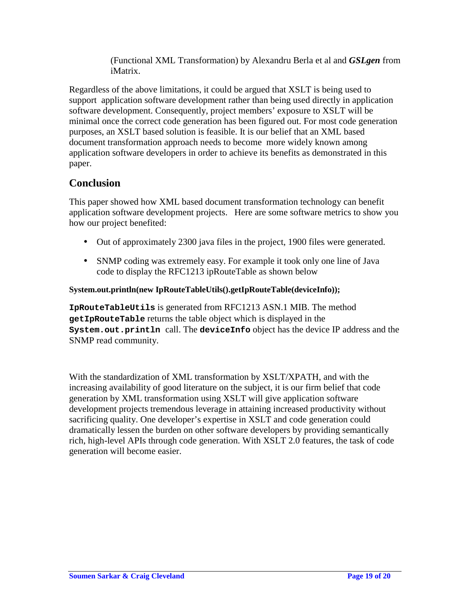(Functional XML Transformation) by Alexandru Berla et al and *GSLgen* from iMatrix.

Regardless of the above limitations, it could be argued that XSLT is being used to support application software development rather than being used directly in application software development. Consequently, project members' exposure to XSLT will be minimal once the correct code generation has been figured out. For most code generation purposes, an XSLT based solution is feasible. It is our belief that an XML based document transformation approach needs to become more widely known among application software developers in order to achieve its benefits as demonstrated in this paper.

# **Conclusion**

This paper showed how XML based document transformation technology can benefit application software development projects. Here are some software metrics to show you how our project benefited:

- Out of approximately 2300 java files in the project, 1900 files were generated.
- SNMP coding was extremely easy. For example it took only one line of Java code to display the RFC1213 ipRouteTable as shown below

### **System.out.println(new IpRouteTableUtils().getIpRouteTable(deviceInfo));**

**IpRouteTableUtils** is generated from RFC1213 ASN.1 MIB. The method **getIpRouteTable** returns the table object which is displayed in the **System.out.println** call. The **deviceInfo** object has the device IP address and the SNMP read community.

With the standardization of XML transformation by XSLT/XPATH, and with the increasing availability of good literature on the subject, it is our firm belief that code generation by XML transformation using XSLT will give application software development projects tremendous leverage in attaining increased productivity without sacrificing quality. One developer's expertise in XSLT and code generation could dramatically lessen the burden on other software developers by providing semantically rich, high-level APIs through code generation. With XSLT 2.0 features, the task of code generation will become easier.